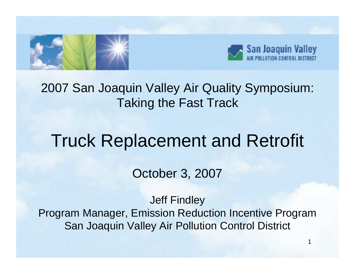



#### 2007 San Joaquin Valley Air Quality Symposium: Taking the Fast Track

#### Truck Replacement and Retrofit

October 3, 2007

Jeff Findley Program Manager, Emission Reduction Incentive Program San Joaquin Valley Air Pollution Control District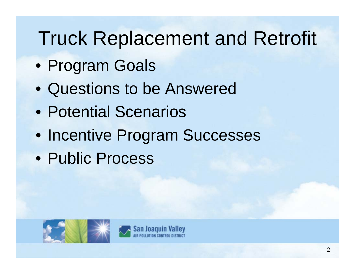## Truck Replacement and Retrofit

- Program Goals
- Questions to be Answered
- Potential Scenarios
- Incentive Program Successes
- Public Process



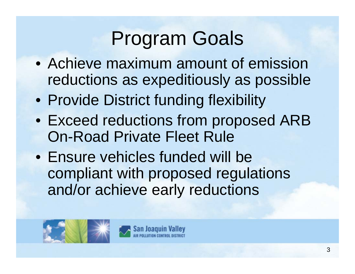# Program Goals

- Achieve maximum amount of emission reductions as expeditiously as possible
- Provide District funding flexibility
- Exceed reductions from proposed ARB On-Road Private Fleet Rule
- Ensure vehicles funded will be compliant with proposed regulations and/or achieve early reductions



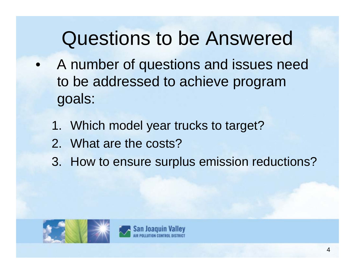### Questions to be Answered

- • A number of questions and issues need to be addressed to achieve program goals:
	- 1. Which model year trucks to target?
	- 2. What are the costs?
	- 3. How to ensure surplus emission reductions?



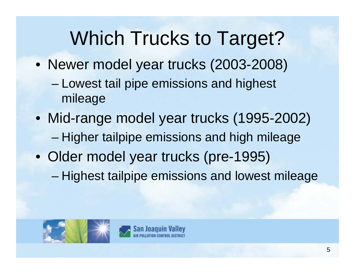### Which Trucks to Target?

• Newer model year trucks (2003-2008) –Lowest tail pipe emissions and highest

mileage

- Mid-range model year trucks (1995-2002) –Higher tailpipe emissions and high mileage
- Older model year trucks (pre-1995) and the state of the state Highest tailpipe emissions and lowest mileage



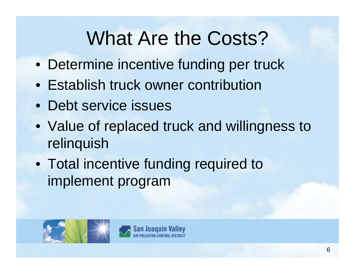### What Are the Costs?

- Determine incentive funding per truck
- Establish truck owner contribution
- Debt service issues
- Value of replaced truck and willingness to relinquish
- Total incentive funding required to implement program



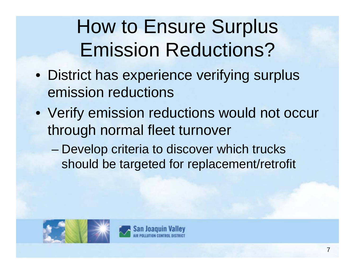# How to Ensure Surplus Emission Reductions?

- District has experience verifying surplus emission reductions
- Verify emission reductions would not occur through normal fleet turnover
	- and the state of the state Develop criteria to discover which trucks should be targeted for replacement/retrofit



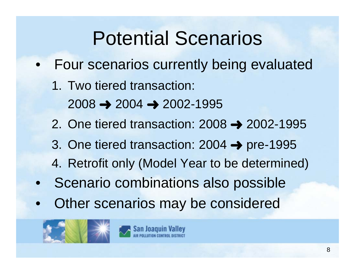### Potential Scenarios

- • Four scenarios currently being evaluated
	- 1. Two tiered transaction: 2008 « 2004 « 2002-1995
	- 2. One tiered transaction: 2008 → 2002-1995
	- 3. One tiered transaction: 2004 → pre-1995
	- 4. Retrofit only (Model Year to be determined)
- •Scenario combinations also possible
- •Other scenarios may be considered



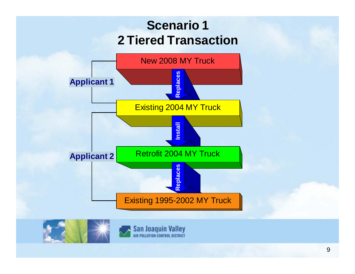#### **Scenario 1 2 Tiered Transaction**





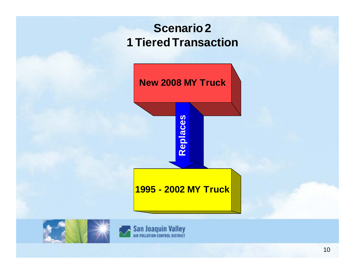#### **Scenario 2 1 Tiered Transaction**





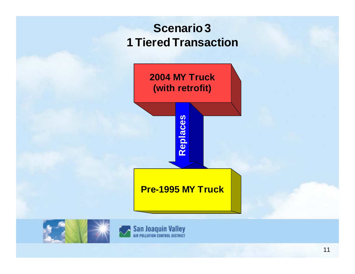#### **Scenario 3 1 Tiered Transaction**





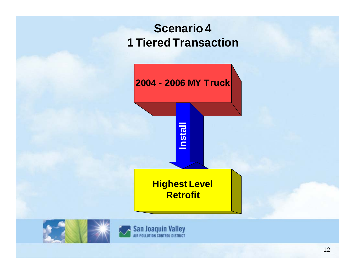#### **Scenario 4 1 Tiered Transaction**





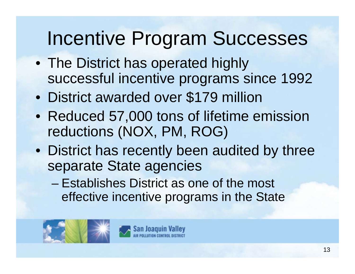### Incentive Program Successes

- The District has operated highly successful incentive programs since 1992
- •District awarded over \$179 million
- Reduced 57,000 tons of lifetime emission reductions (NOX, PM, ROG)
- District has recently been audited by three separate State agencies
	- Establishes District as one of the most effective incentive programs in the State